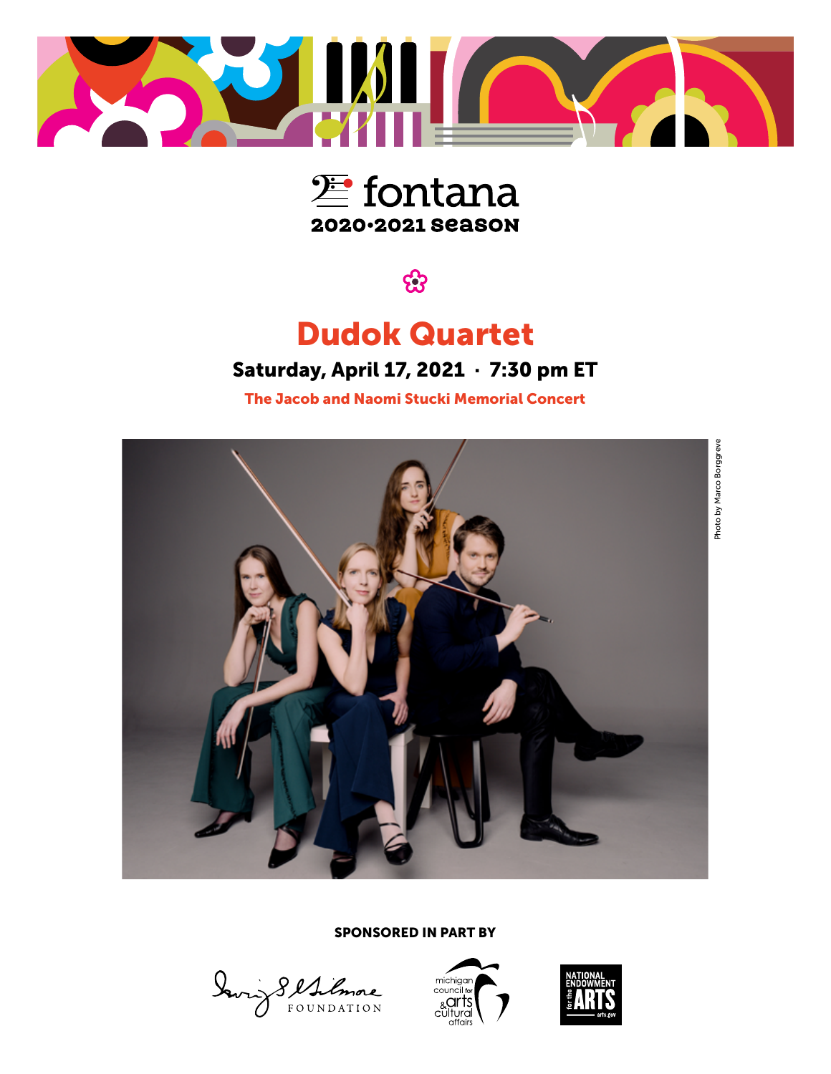



සි

## Dudok Quartet

### Saturday, April 17, 2021 · 7:30 pm ET

The Jacob and Naomi Stucki Memorial Concert



SPONSORED IN PART BY

Davis Sellimore



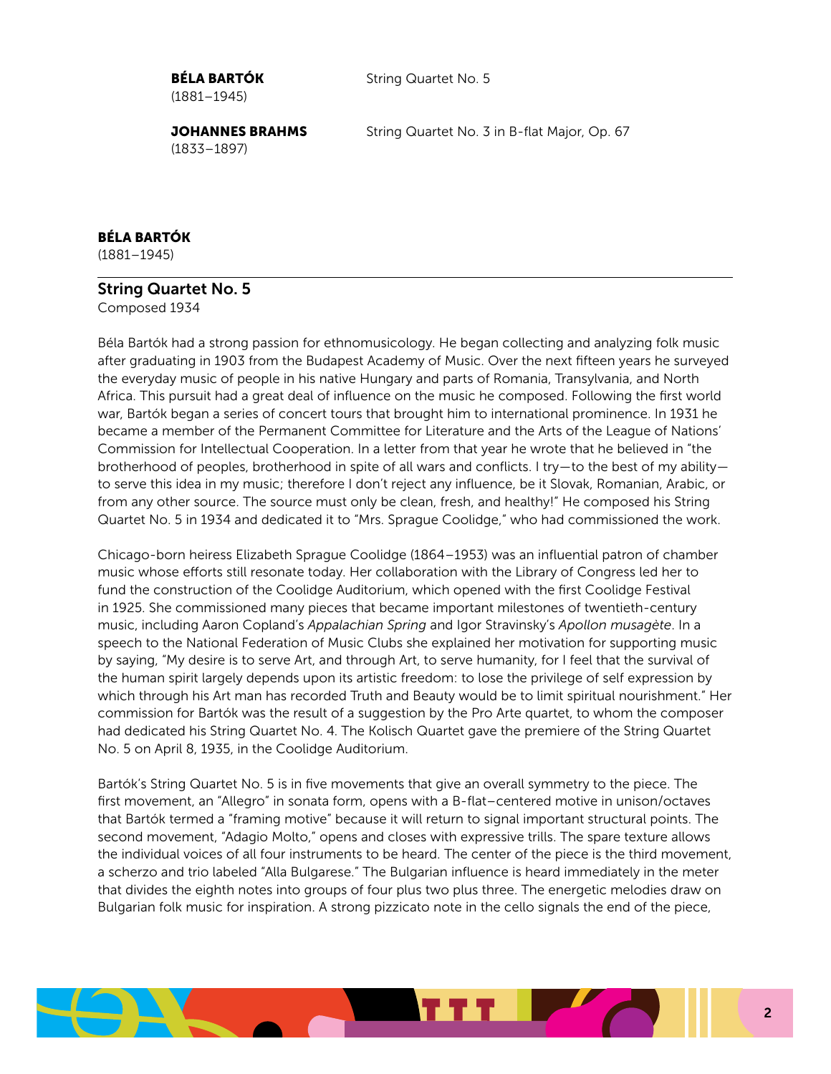(1881–1945)

**BÉLA BARTÓK** String Quartet No. 5

(1833–1897)

**JOHANNES BRAHMS** String Quartet No. 3 in B-flat Major, Op. 67

#### BÉLA BARTÓK

(1881–1945)

#### String Quartet No. 5

Composed 1934

Béla Bartók had a strong passion for ethnomusicology. He began collecting and analyzing folk music after graduating in 1903 from the Budapest Academy of Music. Over the next fifteen years he surveyed the everyday music of people in his native Hungary and parts of Romania, Transylvania, and North Africa. This pursuit had a great deal of influence on the music he composed. Following the first world war, Bartók began a series of concert tours that brought him to international prominence. In 1931 he became a member of the Permanent Committee for Literature and the Arts of the League of Nations' Commission for Intellectual Cooperation. In a letter from that year he wrote that he believed in "the brotherhood of peoples, brotherhood in spite of all wars and conflicts. I try—to the best of my ability to serve this idea in my music; therefore I don't reject any influence, be it Slovak, Romanian, Arabic, or from any other source. The source must only be clean, fresh, and healthy!" He composed his String Quartet No. 5 in 1934 and dedicated it to "Mrs. Sprague Coolidge," who had commissioned the work.

Chicago-born heiress Elizabeth Sprague Coolidge (1864–1953) was an influential patron of chamber music whose efforts still resonate today. Her collaboration with the Library of Congress led her to fund the construction of the Coolidge Auditorium, which opened with the first Coolidge Festival in 1925. She commissioned many pieces that became important milestones of twentieth-century music, including Aaron Copland's *Appalachian Spring* and Igor Stravinsky's *Apollon musagète*. In a speech to the National Federation of Music Clubs she explained her motivation for supporting music by saying, "My desire is to serve Art, and through Art, to serve humanity, for I feel that the survival of the human spirit largely depends upon its artistic freedom: to lose the privilege of self expression by which through his Art man has recorded Truth and Beauty would be to limit spiritual nourishment." Her commission for Bartók was the result of a suggestion by the Pro Arte quartet, to whom the composer had dedicated his String Quartet No. 4. The Kolisch Quartet gave the premiere of the String Quartet No. 5 on April 8, 1935, in the Coolidge Auditorium.

Bartók's String Quartet No. 5 is in five movements that give an overall symmetry to the piece. The first movement, an "Allegro" in sonata form, opens with a B-flat–centered motive in unison/octaves that Bartók termed a "framing motive" because it will return to signal important structural points. The second movement, "Adagio Molto," opens and closes with expressive trills. The spare texture allows the individual voices of all four instruments to be heard. The center of the piece is the third movement, a scherzo and trio labeled "Alla Bulgarese." The Bulgarian influence is heard immediately in the meter that divides the eighth notes into groups of four plus two plus three. The energetic melodies draw on Bulgarian folk music for inspiration. A strong pizzicato note in the cello signals the end of the piece,

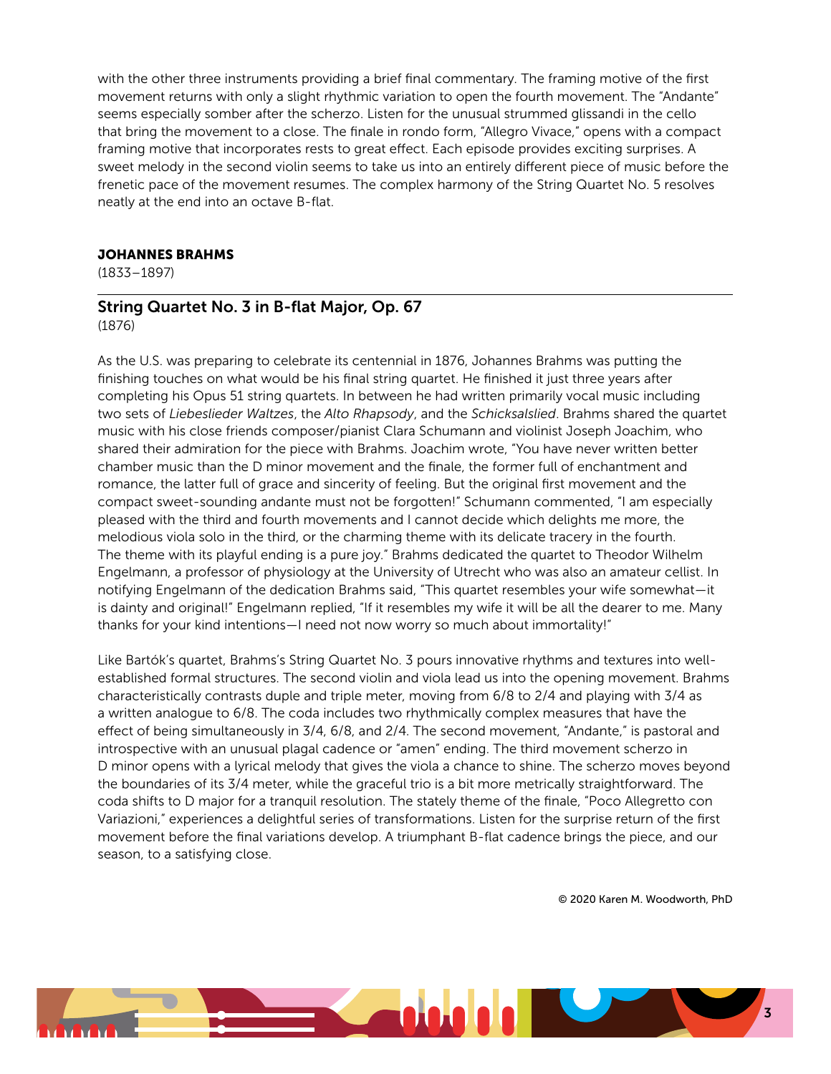with the other three instruments providing a brief final commentary. The framing motive of the first movement returns with only a slight rhythmic variation to open the fourth movement. The "Andante" seems especially somber after the scherzo. Listen for the unusual strummed glissandi in the cello that bring the movement to a close. The finale in rondo form, "Allegro Vivace," opens with a compact framing motive that incorporates rests to great effect. Each episode provides exciting surprises. A sweet melody in the second violin seems to take us into an entirely different piece of music before the frenetic pace of the movement resumes. The complex harmony of the String Quartet No. 5 resolves neatly at the end into an octave B-flat.

#### JOHANNES BRAHMS

(1833–1897)

### String Quartet No. 3 in B-flat Major, Op. 67

(1876)

As the U.S. was preparing to celebrate its centennial in 1876, Johannes Brahms was putting the finishing touches on what would be his final string quartet. He finished it just three years after completing his Opus 51 string quartets. In between he had written primarily vocal music including two sets of *Liebeslieder Waltzes*, the *Alto Rhapsody*, and the *Schicksalslied*. Brahms shared the quartet music with his close friends composer/pianist Clara Schumann and violinist Joseph Joachim, who shared their admiration for the piece with Brahms. Joachim wrote, "You have never written better chamber music than the D minor movement and the finale, the former full of enchantment and romance, the latter full of grace and sincerity of feeling. But the original first movement and the compact sweet-sounding andante must not be forgotten!" Schumann commented, "I am especially pleased with the third and fourth movements and I cannot decide which delights me more, the melodious viola solo in the third, or the charming theme with its delicate tracery in the fourth. The theme with its playful ending is a pure joy." Brahms dedicated the quartet to Theodor Wilhelm Engelmann, a professor of physiology at the University of Utrecht who was also an amateur cellist. In notifying Engelmann of the dedication Brahms said, "This quartet resembles your wife somewhat—it is dainty and original!" Engelmann replied, "If it resembles my wife it will be all the dearer to me. Many thanks for your kind intentions—I need not now worry so much about immortality!"

Like Bartók's quartet, Brahms's String Quartet No. 3 pours innovative rhythms and textures into wellestablished formal structures. The second violin and viola lead us into the opening movement. Brahms characteristically contrasts duple and triple meter, moving from 6/8 to 2/4 and playing with 3/4 as a written analogue to 6/8. The coda includes two rhythmically complex measures that have the effect of being simultaneously in 3/4, 6/8, and 2/4. The second movement, "Andante," is pastoral and introspective with an unusual plagal cadence or "amen" ending. The third movement scherzo in D minor opens with a lyrical melody that gives the viola a chance to shine. The scherzo moves beyond the boundaries of its 3/4 meter, while the graceful trio is a bit more metrically straightforward. The coda shifts to D major for a tranquil resolution. The stately theme of the finale, "Poco Allegretto con Variazioni," experiences a delightful series of transformations. Listen for the surprise return of the first movement before the final variations develop. A triumphant B-flat cadence brings the piece, and our season, to a satisfying close.

© 2020 Karen M. Woodworth, PhD

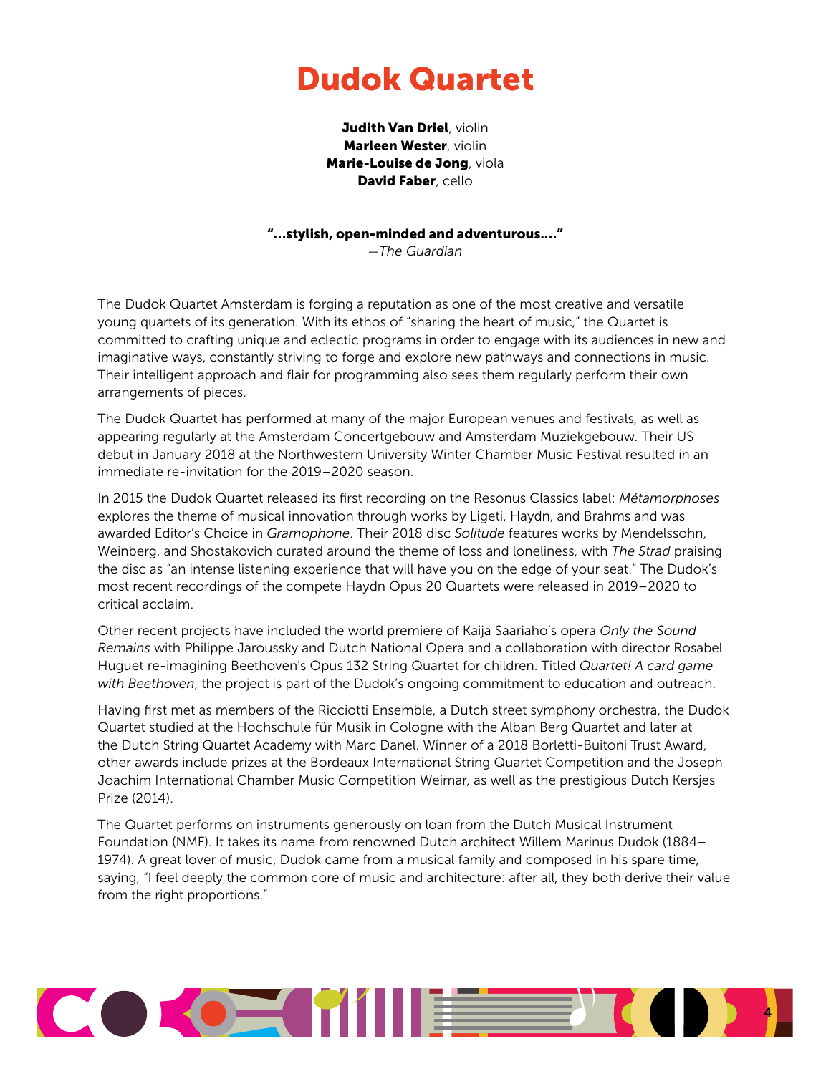## Dudok Quartet

Judith Van Driel, violin Marleen Wester, violin Marie-Louise de Jong, viola David Faber, cello

"…stylish, open-minded and adventurous.…"

*—The Guardian*

The Dudok Quartet Amsterdam is forging a reputation as one of the most creative and versatile young quartets of its generation. With its ethos of "sharing the heart of music," the Quartet is committed to crafting unique and eclectic programs in order to engage with its audiences in new and imaginative ways, constantly striving to forge and explore new pathways and connections in music. Their intelligent approach and flair for programming also sees them regularly perform their own arrangements of pieces.

The Dudok Quartet has performed at many of the major European venues and festivals, as well as appearing regularly at the Amsterdam Concertgebouw and Amsterdam Muziekgebouw. Their US debut in January 2018 at the Northwestern University Winter Chamber Music Festival resulted in an immediate re-invitation for the 2019–2020 season.

In 2015 the Dudok Quartet released its first recording on the Resonus Classics label: *Métamorphoses* explores the theme of musical innovation through works by Ligeti, Haydn, and Brahms and was awarded Editor's Choice in *Gramophone*. Their 2018 disc *Solitude* features works by Mendelssohn, Weinberg, and Shostakovich curated around the theme of loss and loneliness, with *The Strad* praising the disc as "an intense listening experience that will have you on the edge of your seat." The Dudok's most recent recordings of the compete Haydn Opus 20 Quartets were released in 2019–2020 to critical acclaim.

Other recent projects have included the world premiere of Kaija Saariaho's opera *Only the Sound Remains* with Philippe Jaroussky and Dutch National Opera and a collaboration with director Rosabel Huguet re-imagining Beethoven's Opus 132 String Quartet for children. Titled *Quartet! A card game with Beethoven*, the project is part of the Dudok's ongoing commitment to education and outreach.

Having first met as members of the Ricciotti Ensemble, a Dutch street symphony orchestra, the Dudok Quartet studied at the Hochschule für Musik in Cologne with the Alban Berg Quartet and later at the Dutch String Quartet Academy with Marc Danel. Winner of a 2018 Borletti-Buitoni Trust Award, other awards include prizes at the Bordeaux International String Quartet Competition and the Joseph Joachim International Chamber Music Competition Weimar, as well as the prestigious Dutch Kersjes Prize (2014).

The Quartet performs on instruments generously on loan from the Dutch Musical Instrument Foundation (NMF). It takes its name from renowned Dutch architect Willem Marinus Dudok (1884– 1974). A great lover of music, Dudok came from a musical family and composed in his spare time, saying, "I feel deeply the common core of music and architecture: after all, they both derive their value from the right proportions."